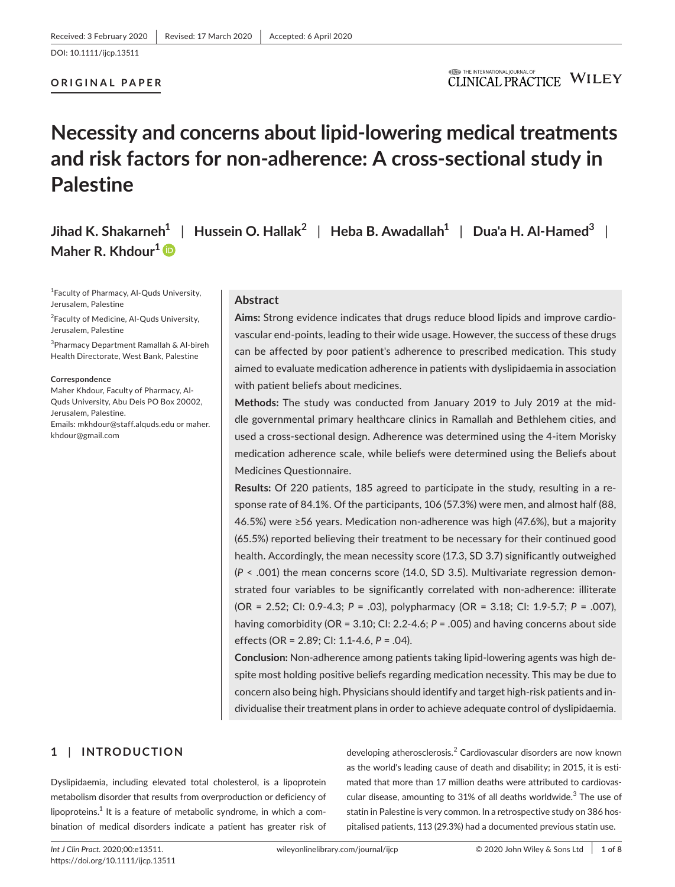## **ORIGINAL PAPER**

## **ITED** THE INTERNATIONAL JOURNAL OF **CLINICAL PRACTICE WILEY**

# **Necessity and concerns about lipid-lowering medical treatments and risk factors for non-adherence: A cross-sectional study in Palestine**

**Jihad K. Shakarneh<sup>1</sup>** | **Hussein O. Hallak<sup>2</sup>** | **Heba B. Awadallah<sup>1</sup>** | **Dua'a H. Al-Hamed<sup>3</sup>** | **Maher R. Khdour[1](https://orcid.org/0000-0003-0193-7922)**

1 Faculty of Pharmacy, Al-Quds University, Jerusalem, Palestine

<sup>2</sup>Faculty of Medicine, Al-Quds University, Jerusalem, Palestine

3 Pharmacy Department Ramallah & Al-bireh Health Directorate, West Bank, Palestine

#### **Correspondence**

Maher Khdour, Faculty of Pharmacy, Al-Quds University, Abu Deis PO Box 20002, Jerusalem, Palestine. Emails: [mkhdour@staff.alquds.edu](mailto:mkhdour@staff.alquds.edu) or [maher.](mailto:maher.khdour@gmail.com) [khdour@gmail.com](mailto:maher.khdour@gmail.com)

#### **Abstract**

**Aims:** Strong evidence indicates that drugs reduce blood lipids and improve cardiovascular end-points, leading to their wide usage. However, the success of these drugs can be affected by poor patient's adherence to prescribed medication. This study aimed to evaluate medication adherence in patients with dyslipidaemia in association with patient beliefs about medicines.

**Methods:** The study was conducted from January 2019 to July 2019 at the middle governmental primary healthcare clinics in Ramallah and Bethlehem cities, and used a cross-sectional design. Adherence was determined using the 4-item Morisky medication adherence scale, while beliefs were determined using the Beliefs about Medicines Questionnaire.

**Results:** Of 220 patients, 185 agreed to participate in the study, resulting in a response rate of 84.1%. Of the participants, 106 (57.3%) were men, and almost half (88, 46.5%) were ≥56 years. Medication non-adherence was high (47.6%), but a majority (65.5%) reported believing their treatment to be necessary for their continued good health. Accordingly, the mean necessity score (17.3, SD 3.7) significantly outweighed (*P* < .001) the mean concerns score (14.0, SD 3.5). Multivariate regression demonstrated four variables to be significantly correlated with non-adherence: illiterate (OR = 2.52; CI: 0.9-4.3; *P* = .03), polypharmacy (OR = 3.18; CI: 1.9-5.7; *P* = .007), having comorbidity (OR = 3.10; CI: 2.2-4.6; *P* = .005) and having concerns about side effects (OR = 2.89; CI: 1.1-4.6, *P* = .04).

**Conclusion:** Non-adherence among patients taking lipid-lowering agents was high despite most holding positive beliefs regarding medication necessity. This may be due to concern also being high. Physicians should identify and target high-risk patients and individualise their treatment plans in order to achieve adequate control of dyslipidaemia.

## **1** | **INTRODUCTION**

Dyslipidaemia, including elevated total cholesterol, is a lipoprotein metabolism disorder that results from overproduction or deficiency of lipoproteins. $^1$  It is a feature of metabolic syndrome, in which a combination of medical disorders indicate a patient has greater risk of

developing atherosclerosis.<sup>2</sup> Cardiovascular disorders are now known as the world's leading cause of death and disability; in 2015, it is estimated that more than 17 million deaths were attributed to cardiovascular disease, amounting to 31% of all deaths worldwide. $3$  The use of statin in Palestine is very common. In a retrospective study on 386 hospitalised patients, 113 (29.3%) had a documented previous statin use.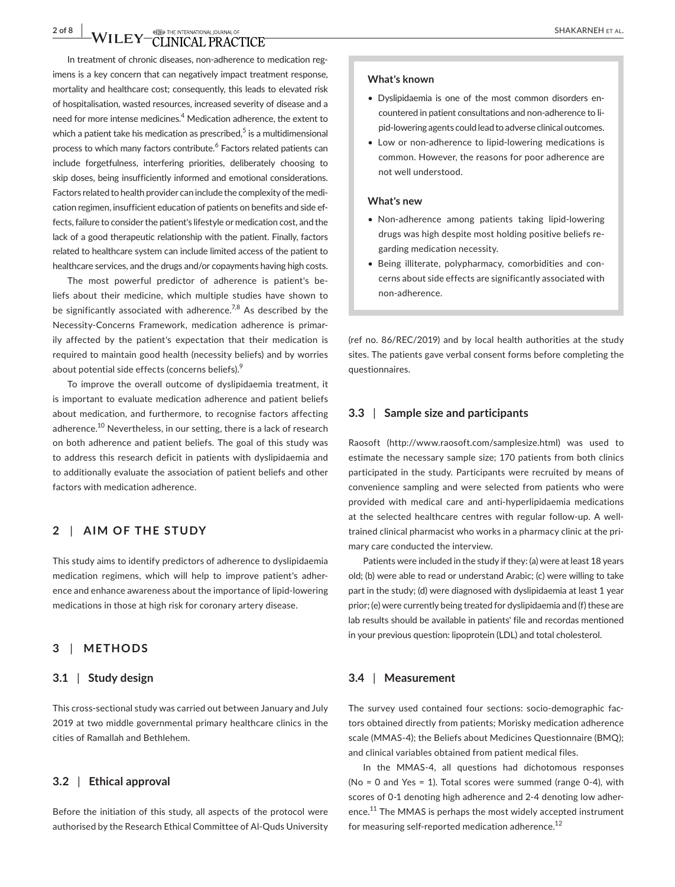## **2 of 8 WILEY CLINICAL PRACTICE** SHAKARNEH ET AL.

In treatment of chronic diseases, non-adherence to medication regimens is a key concern that can negatively impact treatment response, mortality and healthcare cost; consequently, this leads to elevated risk of hospitalisation, wasted resources, increased severity of disease and a need for more intense medicines.<sup>4</sup> Medication adherence, the extent to which a patient take his medication as prescribed, $^5$  is a multidimensional process to which many factors contribute.<sup>6</sup> Factors related patients can include forgetfulness, interfering priorities, deliberately choosing to skip doses, being insufficiently informed and emotional considerations. Factors related to health provider can include the complexity of the medication regimen, insufficient education of patients on benefits and side effects, failure to consider the patient's lifestyle or medication cost, and the lack of a good therapeutic relationship with the patient. Finally, factors related to healthcare system can include limited access of the patient to healthcare services, and the drugs and/or copayments having high costs.

The most powerful predictor of adherence is patient's beliefs about their medicine, which multiple studies have shown to be significantly associated with adherence.<sup>7,8</sup> As described by the Necessity-Concerns Framework, medication adherence is primarily affected by the patient's expectation that their medication is required to maintain good health (necessity beliefs) and by worries about potential side effects (concerns beliefs).<sup>9</sup>

To improve the overall outcome of dyslipidaemia treatment, it is important to evaluate medication adherence and patient beliefs about medication, and furthermore, to recognise factors affecting adherence.<sup>10</sup> Nevertheless, in our setting, there is a lack of research on both adherence and patient beliefs. The goal of this study was to address this research deficit in patients with dyslipidaemia and to additionally evaluate the association of patient beliefs and other factors with medication adherence.

## **2** | **AIM OF THE STUDY**

This study aims to identify predictors of adherence to dyslipidaemia medication regimens, which will help to improve patient's adherence and enhance awareness about the importance of lipid-lowering medications in those at high risk for coronary artery disease.

## **3** | **METHODS**

## **3.1** | **Study design**

This cross-sectional study was carried out between January and July 2019 at two middle governmental primary healthcare clinics in the cities of Ramallah and Bethlehem.

#### **3.2** | **Ethical approval**

Before the initiation of this study, all aspects of the protocol were authorised by the Research Ethical Committee of Al-Quds University

#### **What's known**

- Dyslipidaemia is one of the most common disorders encountered in patient consultations and non-adherence to lipid-lowering agents could lead to adverse clinical outcomes.
- Low or non-adherence to lipid-lowering medications is common. However, the reasons for poor adherence are not well understood.

#### **What's new**

- Non-adherence among patients taking lipid-lowering drugs was high despite most holding positive beliefs regarding medication necessity.
- Being illiterate, polypharmacy, comorbidities and concerns about side effects are significantly associated with non-adherence.

(ref no. 86/REC/2019) and by local health authorities at the study sites. The patients gave verbal consent forms before completing the questionnaires.

#### **3.3** | **Sample size and participants**

Raosoft (<http://www.raosoft.com/samplesize.html>) was used to estimate the necessary sample size; 170 patients from both clinics participated in the study. Participants were recruited by means of convenience sampling and were selected from patients who were provided with medical care and anti-hyperlipidaemia medications at the selected healthcare centres with regular follow-up. A welltrained clinical pharmacist who works in a pharmacy clinic at the primary care conducted the interview.

Patients were included in the study if they: (a) were at least 18 years old; (b) were able to read or understand Arabic; (c) were willing to take part in the study; (d) were diagnosed with dyslipidaemia at least 1 year prior; (e) were currently being treated for dyslipidaemia and (f) these are lab results should be available in patients' file and recordas mentioned in your previous question: lipoprotein (LDL) and total cholesterol.

#### **3.4** | **Measurement**

The survey used contained four sections: socio-demographic factors obtained directly from patients; Morisky medication adherence scale (MMAS-4); the Beliefs about Medicines Questionnaire (BMQ); and clinical variables obtained from patient medical files.

In the MMAS-4, all questions had dichotomous responses (No = 0 and Yes = 1). Total scores were summed (range 0-4), with scores of 0-1 denoting high adherence and 2-4 denoting low adherence.<sup>11</sup> The MMAS is perhaps the most widely accepted instrument for measuring self-reported medication adherence.<sup>12</sup>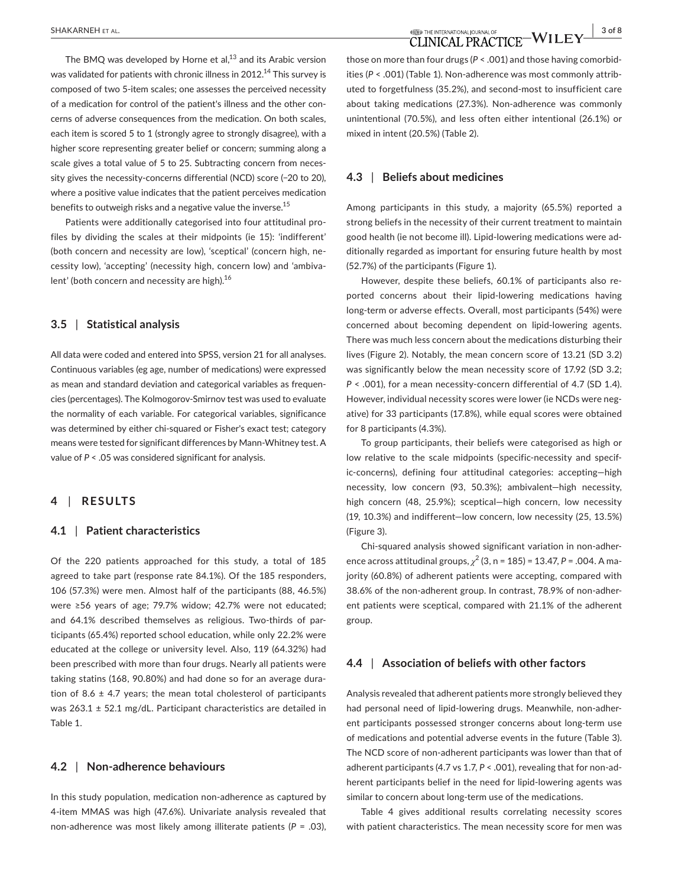The BMO was developed by Horne et al. $^{13}$  and its Arabic version was validated for patients with chronic illness in 2012.<sup>14</sup> This survey is composed of two 5-item scales; one assesses the perceived necessity of a medication for control of the patient's illness and the other concerns of adverse consequences from the medication. On both scales, each item is scored 5 to 1 (strongly agree to strongly disagree), with a higher score representing greater belief or concern; summing along a scale gives a total value of 5 to 25. Subtracting concern from necessity gives the necessity-concerns differential (NCD) score (−20 to 20), where a positive value indicates that the patient perceives medication benefits to outweigh risks and a negative value the inverse.<sup>15</sup>

Patients were additionally categorised into four attitudinal profiles by dividing the scales at their midpoints (ie 15): 'indifferent' (both concern and necessity are low), 'sceptical' (concern high, necessity low), 'accepting' (necessity high, concern low) and 'ambivalent' (both concern and necessity are high).<sup>16</sup>

#### **3.5** | **Statistical analysis**

All data were coded and entered into SPSS, version 21 for all analyses. Continuous variables (eg age, number of medications) were expressed as mean and standard deviation and categorical variables as frequencies (percentages). The Kolmogorov-Smirnov test was used to evaluate the normality of each variable. For categorical variables, significance was determined by either chi-squared or Fisher's exact test; category means were tested for significant differences by Mann-Whitney test. A value of *P* < .05 was considered significant for analysis.

## **4** | **RESULTS**

#### **4.1** | **Patient characteristics**

Of the 220 patients approached for this study, a total of 185 agreed to take part (response rate 84.1%). Of the 185 responders, 106 (57.3%) were men. Almost half of the participants (88, 46.5%) were ≥56 years of age; 79.7% widow; 42.7% were not educated; and 64.1% described themselves as religious. Two-thirds of participants (65.4%) reported school education, while only 22.2% were educated at the college or university level. Also, 119 (64.32%) had been prescribed with more than four drugs. Nearly all patients were taking statins (168, 90.80%) and had done so for an average duration of 8.6  $\pm$  4.7 years; the mean total cholesterol of participants was  $263.1 \pm 52.1$  mg/dL. Participant characteristics are detailed in Table 1.

## **4.2** | **Non-adherence behaviours**

In this study population, medication non-adherence as captured by 4-item MMAS was high (47.6%). Univariate analysis revealed that non-adherence was most likely among illiterate patients (*P* = .03),

those on more than four drugs (*P* < .001) and those having comorbidities (*P* < .001) (Table 1). Non-adherence was most commonly attributed to forgetfulness (35.2%), and second-most to insufficient care about taking medications (27.3%). Non-adherence was commonly unintentional (70.5%), and less often either intentional (26.1%) or mixed in intent (20.5%) (Table 2).

#### **4.3** | **Beliefs about medicines**

Among participants in this study, a majority (65.5%) reported a strong beliefs in the necessity of their current treatment to maintain good health (ie not become ill). Lipid-lowering medications were additionally regarded as important for ensuring future health by most (52.7%) of the participants (Figure 1).

However, despite these beliefs, 60.1% of participants also reported concerns about their lipid-lowering medications having long-term or adverse effects. Overall, most participants (54%) were concerned about becoming dependent on lipid-lowering agents. There was much less concern about the medications disturbing their lives (Figure 2). Notably, the mean concern score of 13.21 (SD 3.2) was significantly below the mean necessity score of 17.92 (SD 3.2; *P* < .001), for a mean necessity-concern differential of 4.7 (SD 1.4). However, individual necessity scores were lower (ie NCDs were negative) for 33 participants (17.8%), while equal scores were obtained for 8 participants (4.3%).

To group participants, their beliefs were categorised as high or low relative to the scale midpoints (specific-necessity and specific-concerns), defining four attitudinal categories: accepting—high necessity, low concern (93, 50.3%); ambivalent—high necessity, high concern (48, 25.9%); sceptical—high concern, low necessity (19, 10.3%) and indifferent—low concern, low necessity (25, 13.5%) (Figure 3).

Chi-squared analysis showed significant variation in non-adherence across attitudinal groups, *χ*<sup>2</sup> (3, n = 185) = 13.47, *P* = .004. A majority (60.8%) of adherent patients were accepting, compared with 38.6% of the non-adherent group. In contrast, 78.9% of non-adherent patients were sceptical, compared with 21.1% of the adherent group.

#### **4.4** | **Association of beliefs with other factors**

Analysis revealed that adherent patients more strongly believed they had personal need of lipid-lowering drugs. Meanwhile, non-adherent participants possessed stronger concerns about long-term use of medications and potential adverse events in the future (Table 3). The NCD score of non-adherent participants was lower than that of adherent participants (4.7 vs 1.7, *P* < .001), revealing that for non-adherent participants belief in the need for lipid-lowering agents was similar to concern about long-term use of the medications.

Table 4 gives additional results correlating necessity scores with patient characteristics. The mean necessity score for men was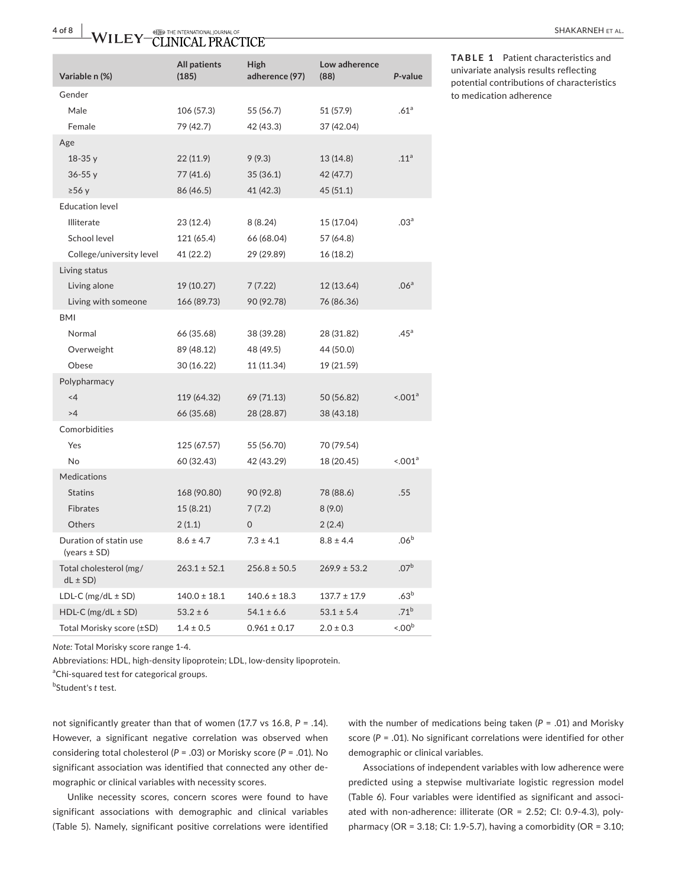| Variable n (%)                             | <b>All patients</b><br>(185) | High<br>adherence (97) | Low adherence<br>(88) | P-value           |
|--------------------------------------------|------------------------------|------------------------|-----------------------|-------------------|
| Gender                                     |                              |                        |                       |                   |
| Male                                       | 106 (57.3)                   | 55 (56.7)              | 51 (57.9)             | .61 <sup>a</sup>  |
| Female                                     | 79 (42.7)                    | 42 (43.3)              | 37 (42.04)            |                   |
| Age                                        |                              |                        |                       |                   |
| $18-35y$                                   | 22 (11.9)                    | 9(9.3)                 | 13 (14.8)             | .11 <sup>a</sup>  |
| $36 - 55y$                                 | 77 (41.6)                    | 35(36.1)               | 42 (47.7)             |                   |
| $\geq 56$ y                                | 86 (46.5)                    | 41 (42.3)              | 45(51.1)              |                   |
| <b>Education level</b>                     |                              |                        |                       |                   |
| <b>Illiterate</b>                          | 23 (12.4)                    | 8 (8.24)               | 15 (17.04)            | .03 <sup>a</sup>  |
| School level                               | 121 (65.4)                   | 66 (68.04)             | 57 (64.8)             |                   |
| College/university level                   | 41 (22.2)                    | 29 (29.89)             | 16 (18.2)             |                   |
| Living status                              |                              |                        |                       |                   |
| Living alone                               | 19 (10.27)                   | 7 (7.22)               | 12 (13.64)            | .06 <sup>a</sup>  |
| Living with someone                        | 166 (89.73)                  | 90 (92.78)             | 76 (86.36)            |                   |
| BMI                                        |                              |                        |                       |                   |
| Normal                                     | 66 (35.68)                   | 38 (39.28)             | 28 (31.82)            | .45 <sup>a</sup>  |
| Overweight                                 | 89 (48.12)                   | 48 (49.5)              | 44 (50.0)             |                   |
| Obese                                      | 30 (16.22)                   | 11 (11.34)             | 19 (21.59)            |                   |
| Polypharmacy                               |                              |                        |                       |                   |
| $<$ 4                                      | 119 (64.32)                  | 69 (71.13)             | 50 (56.82)            | $1001^a$          |
| >4                                         | 66 (35.68)                   | 28 (28.87)             | 38 (43.18)            |                   |
| Comorbidities                              |                              |                        |                       |                   |
| Yes                                        | 125 (67.57)                  | 55 (56.70)             | 70 (79.54)            |                   |
| N <sub>o</sub>                             | 60 (32.43)                   | 42 (43.29)             | 18 (20.45)            | $1001^a$          |
| Medications                                |                              |                        |                       |                   |
| <b>Statins</b>                             | 168 (90.80)                  | 90 (92.8)              | 78 (88.6)             | .55               |
| <b>Fibrates</b>                            | 15 (8.21)                    | 7(7.2)                 | 8(9.0)                |                   |
| Others                                     | 2(1.1)                       | $\mathbf 0$            | 2(2.4)                |                   |
| Duration of statin use<br>(years $\pm$ SD) | $8.6 \pm 4.7$                | $7.3 \pm 4.1$          | $8.8 \pm 4.4$         | .06 <sup>b</sup>  |
| Total cholesterol (mg/<br>$dL \pm SD$      | $263.1 \pm 52.1$             | $256.8 \pm 50.5$       | $269.9 \pm 53.2$      | .07 <sup>b</sup>  |
| LDL-C ( $mg/dL \pm SD$ )                   | $140.0 \pm 18.1$             | $140.6 \pm 18.3$       | $137.7 \pm 17.9$      | .63 <sup>b</sup>  |
| HDL-C ( $mg/dL \pm SD$ )                   | $53.2 \pm 6$                 | $54.1 \pm 6.6$         | $53.1 \pm 5.4$        | $.71^{b}$         |
| Total Morisky score (±SD)                  | $1.4 \pm 0.5$                | $0.961 \pm 0.17$       | $2.0 \pm 0.3$         | < 00 <sup>b</sup> |

**TABLE 1** Patient characteristics and univariate analysis results reflecting potential contributions of characteristics to medication adherence

*Note:* Total Morisky score range 1-4.

Abbreviations: HDL, high-density lipoprotein; LDL, low-density lipoprotein.

<sup>a</sup>Chi-squared test for categorical groups.

b Student's *t* test.

not significantly greater than that of women (17.7 vs 16.8, *P* = .14). However, a significant negative correlation was observed when considering total cholesterol (*P* = .03) or Morisky score (*P* = .01). No significant association was identified that connected any other demographic or clinical variables with necessity scores.

Unlike necessity scores, concern scores were found to have significant associations with demographic and clinical variables (Table 5). Namely, significant positive correlations were identified

with the number of medications being taken (*P* = .01) and Morisky score (*P* = .01). No significant correlations were identified for other demographic or clinical variables.

Associations of independent variables with low adherence were predicted using a stepwise multivariate logistic regression model (Table 6). Four variables were identified as significant and associated with non-adherence: illiterate (OR = 2.52; CI: 0.9-4.3), polypharmacy (OR = 3.18; CI: 1.9-5.7), having a comorbidity (OR = 3.10;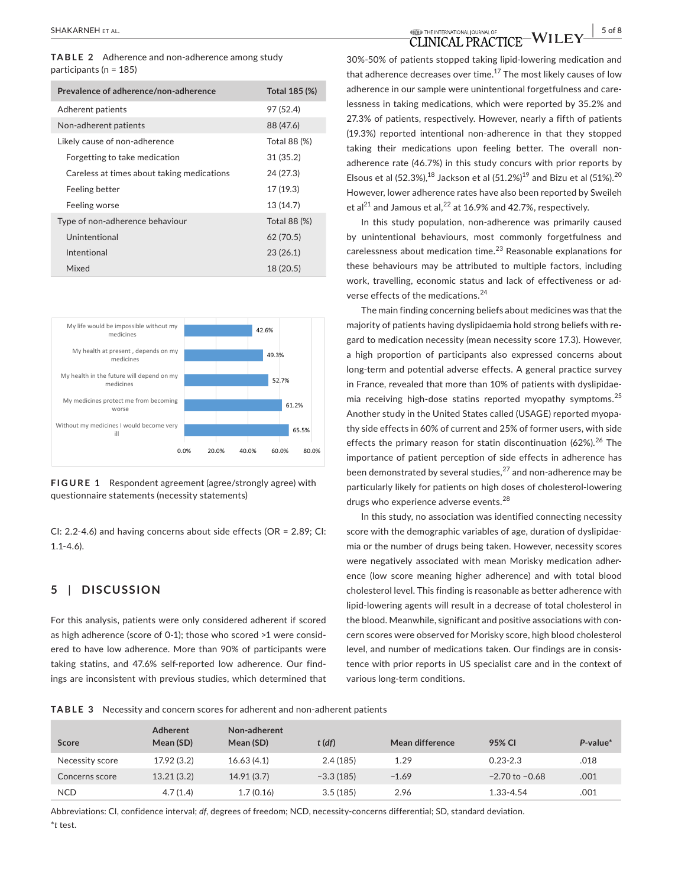**TABLE 2** Adherence and non-adherence among study participants (n = 185)

| Prevalence of adherence/non-adherence      | Total 185 (%) |
|--------------------------------------------|---------------|
| Adherent patients                          | 97 (52.4)     |
| Non-adherent patients                      | 88 (47.6)     |
| Likely cause of non-adherence              | Total 88 (%)  |
| Forgetting to take medication              | 31(35.2)      |
| Careless at times about taking medications | 24 (27.3)     |
| Feeling better                             | 17 (19.3)     |
| Feeling worse                              | 13(14.7)      |
| Type of non-adherence behaviour            | Total 88 (%)  |
| Unintentional                              | 62(70.5)      |
| Intentional                                | 23(26.1)      |
| Mixed                                      | 18 (20.5)     |



**FIGURE 1** Respondent agreement (agree/strongly agree) with questionnaire statements (necessity statements)

CI: 2.2-4.6) and having concerns about side effects (OR = 2.89; CI: 1.1-4.6).

## **5** | **DISCUSSION**

For this analysis, patients were only considered adherent if scored as high adherence (score of 0-1); those who scored >1 were considered to have low adherence. More than 90% of participants were taking statins, and 47.6% self-reported low adherence. Our findings are inconsistent with previous studies, which determined that 30%-50% of patients stopped taking lipid-lowering medication and that adherence decreases over time. $17$  The most likely causes of low adherence in our sample were unintentional forgetfulness and carelessness in taking medications, which were reported by 35.2% and 27.3% of patients, respectively. However, nearly a fifth of patients (19.3%) reported intentional non-adherence in that they stopped taking their medications upon feeling better. The overall nonadherence rate (46.7%) in this study concurs with prior reports by Elsous et al  $(52.3\%)$ ,<sup>18</sup> Jackson et al  $(51.2\%)$ <sup>19</sup> and Bizu et al  $(51\%)$ .<sup>20</sup> However, lower adherence rates have also been reported by Sweileh et al<sup>21</sup> and Jamous et al.<sup>22</sup> at 16.9% and 42.7%, respectively.

In this study population, non-adherence was primarily caused by unintentional behaviours, most commonly forgetfulness and carelessness about medication time.<sup>23</sup> Reasonable explanations for these behaviours may be attributed to multiple factors, including work, travelling, economic status and lack of effectiveness or adverse effects of the medications.<sup>24</sup>

The main finding concerning beliefs about medicines was that the majority of patients having dyslipidaemia hold strong beliefs with regard to medication necessity (mean necessity score 17.3). However, a high proportion of participants also expressed concerns about long-term and potential adverse effects. A general practice survey in France, revealed that more than 10% of patients with dyslipidaemia receiving high-dose statins reported myopathy symptoms.<sup>25</sup> Another study in the United States called (USAGE) reported myopathy side effects in 60% of current and 25% of former users, with side effects the primary reason for statin discontinuation (62%). $2^6$  The importance of patient perception of side effects in adherence has been demonstrated by several studies,<sup>27</sup> and non-adherence may be particularly likely for patients on high doses of cholesterol-lowering drugs who experience adverse events.<sup>28</sup>

In this study, no association was identified connecting necessity score with the demographic variables of age, duration of dyslipidaemia or the number of drugs being taken. However, necessity scores were negatively associated with mean Morisky medication adherence (low score meaning higher adherence) and with total blood cholesterol level. This finding is reasonable as better adherence with lipid-lowering agents will result in a decrease of total cholesterol in the blood. Meanwhile, significant and positive associations with concern scores were observed for Morisky score, high blood cholesterol level, and number of medications taken. Our findings are in consistence with prior reports in US specialist care and in the context of various long-term conditions.

**TABLE 3** Necessity and concern scores for adherent and non-adherent patients

| Score           | Adherent<br>Mean (SD) | Non-adherent<br>Mean (SD) | $t$ (df)    | Mean difference | 95% CI             | $P$ -value $*$ |
|-----------------|-----------------------|---------------------------|-------------|-----------------|--------------------|----------------|
| Necessity score | 17.92 (3.2)           | 16.63(4.1)                | 2.4(185)    | 1.29            | $0.23 - 2.3$       | .018           |
| Concerns score  | 13.21(3.2)            | 14.91(3.7)                | $-3.3(185)$ | $-1.69$         | $-2.70$ to $-0.68$ | .001           |
| <b>NCD</b>      | 4.7(1.4)              | 1.7(0.16)                 | 3.5(185)    | 2.96            | 1.33-4.54          | .001           |

Abbreviations: CI, confidence interval; *df*, degrees of freedom; NCD, necessity-concerns differential; SD, standard deviation. \**t* test.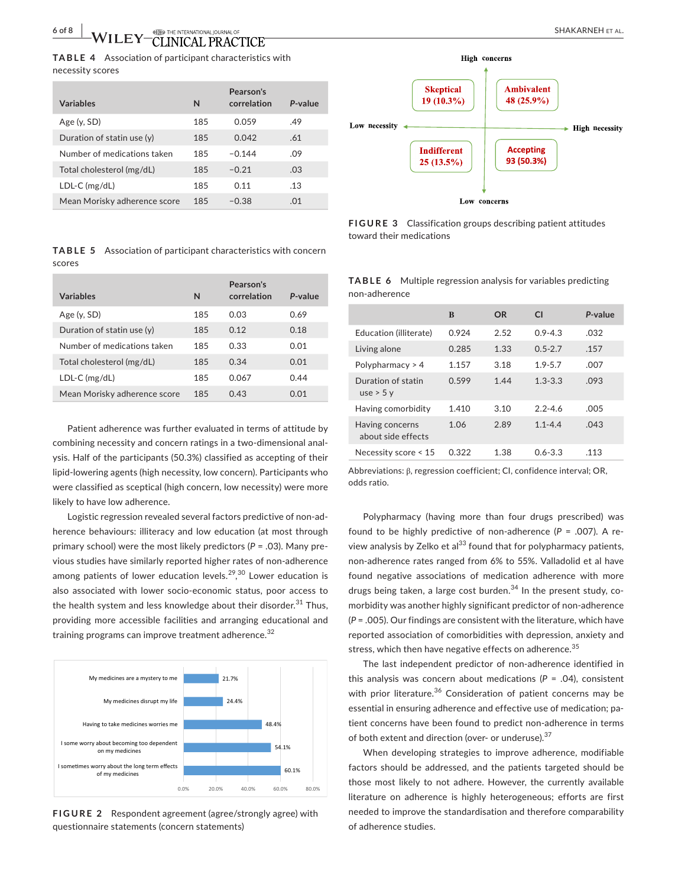**TABLE 4** Association of participant characteristics with necessity scores

| <b>Variables</b>             | N   | Pearson's<br>correlation | P-value |
|------------------------------|-----|--------------------------|---------|
| Age (y, SD)                  | 185 | 0.059                    | .49     |
| Duration of statin use $(y)$ | 185 | 0.042                    | .61     |
| Number of medications taken  | 185 | $-0.144$                 | .09     |
| Total cholesterol (mg/dL)    | 185 | $-0.21$                  | .03     |
| $LDL-C (mg/dL)$              | 185 | 0.11                     | .13     |
| Mean Morisky adherence score | 185 | $-0.38$                  | .01     |

**High** concerns **Skeptical Ambivalent** 19 (10.3%) 48 (25.9%) Low necessity  $\leftarrow$  High necessity **Indifferent Accepting** 93 (50.3%) 25 (13.5%) **Low** concerns

**FIGURE 3** Classification groups describing patient attitudes toward their medications

|        | <b>TABLE 5</b> Association of participant characteristics with concern |
|--------|------------------------------------------------------------------------|
| scores |                                                                        |

| <b>Variables</b>             | N   | Pearson's<br>correlation | P-value |
|------------------------------|-----|--------------------------|---------|
| Age $(y, SD)$                | 185 | 0.03                     | 0.69    |
| Duration of statin use (y)   | 185 | 0.12                     | 0.18    |
| Number of medications taken  | 185 | 0.33                     | 0.01    |
| Total cholesterol (mg/dL)    | 185 | 0.34                     | 0.01    |
| $LDL-C (mg/dL)$              | 185 | 0.067                    | 0.44    |
| Mean Morisky adherence score | 185 | 0.43                     | 0.01    |

Patient adherence was further evaluated in terms of attitude by combining necessity and concern ratings in a two-dimensional analysis. Half of the participants (50.3%) classified as accepting of their lipid-lowering agents (high necessity, low concern). Participants who were classified as sceptical (high concern, low necessity) were more likely to have low adherence.

Logistic regression revealed several factors predictive of non-adherence behaviours: illiteracy and low education (at most through primary school) were the most likely predictors (*P* = .03). Many previous studies have similarly reported higher rates of non-adherence among patients of lower education levels. $^{29,30}$  Lower education is also associated with lower socio-economic status, poor access to the health system and less knowledge about their disorder.<sup>31</sup> Thus, providing more accessible facilities and arranging educational and training programs can improve treatment adherence.<sup>32</sup>



**FIGURE 2** Respondent agreement (agree/strongly agree) with questionnaire statements (concern statements)

**TABLE 6** Multiple regression analysis for variables predicting non-adherence

|                                       | B     | OR   | C1          | P-value |
|---------------------------------------|-------|------|-------------|---------|
| Education (illiterate)                | 0.924 | 2.52 | $0.9 - 4.3$ | .032    |
| Living alone                          | 0.285 | 1.33 | $0.5 - 2.7$ | .157    |
| Polypharmacy $> 4$                    | 1.157 | 3.18 | $1.9 - 5.7$ | .007    |
| Duration of statin<br>use $>$ 5 y     | 0.599 | 1.44 | $1.3 - 3.3$ | .093    |
| Having comorbidity                    | 1.410 | 3.10 | $2.2 - 4.6$ | .005    |
| Having concerns<br>about side effects | 1.06  | 2.89 | $1.1 - 4.4$ | .043    |
| Necessity score < 15                  | 0.322 | 1.38 | $0.6 - 3.3$ | .113    |

Abbreviations: β, regression coefficient; CI, confidence interval; OR, odds ratio.

Polypharmacy (having more than four drugs prescribed) was found to be highly predictive of non-adherence  $(P = .007)$ . A review analysis by Zelko et al<sup>33</sup> found that for polypharmacy patients, non-adherence rates ranged from 6% to 55%. Valladolid et al have found negative associations of medication adherence with more drugs being taken, a large cost burden. $34$  In the present study, comorbidity was another highly significant predictor of non-adherence (*P* = .005). Our findings are consistent with the literature, which have reported association of comorbidities with depression, anxiety and stress, which then have negative effects on adherence.<sup>35</sup>

The last independent predictor of non-adherence identified in this analysis was concern about medications (*P* = .04), consistent with prior literature.<sup>36</sup> Consideration of patient concerns may be essential in ensuring adherence and effective use of medication; patient concerns have been found to predict non-adherence in terms of both extent and direction (over- or underuse).<sup>37</sup>

When developing strategies to improve adherence, modifiable factors should be addressed, and the patients targeted should be those most likely to not adhere. However, the currently available literature on adherence is highly heterogeneous; efforts are first needed to improve the standardisation and therefore comparability of adherence studies.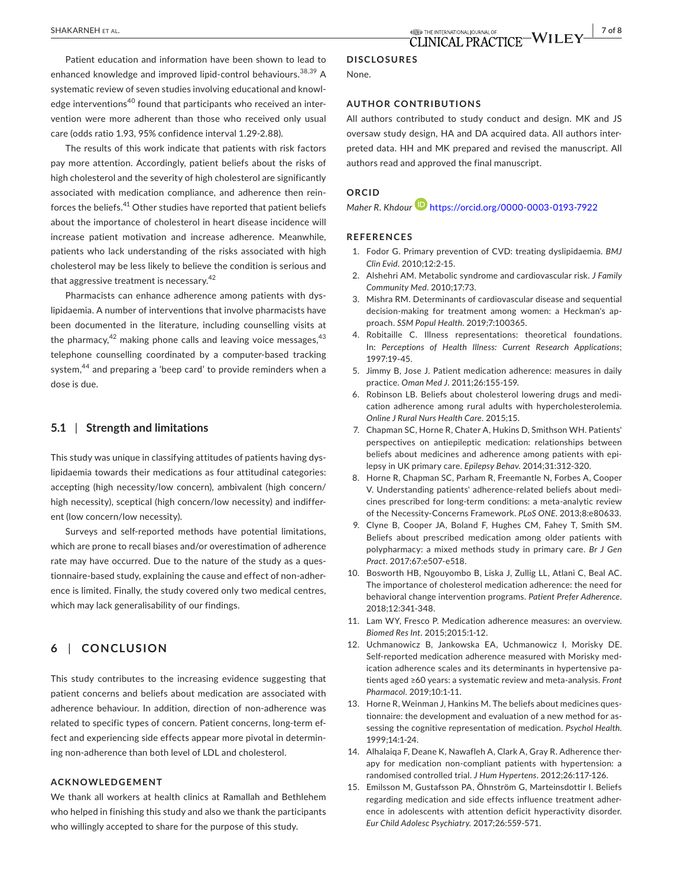Patient education and information have been shown to lead to enhanced knowledge and improved lipid-control behaviours.<sup>38,39</sup> A systematic review of seven studies involving educational and knowledge interventions<sup>40</sup> found that participants who received an intervention were more adherent than those who received only usual care (odds ratio 1.93, 95% confidence interval 1.29-2.88).

The results of this work indicate that patients with risk factors pay more attention. Accordingly, patient beliefs about the risks of high cholesterol and the severity of high cholesterol are significantly associated with medication compliance, and adherence then reinforces the beliefs.41 Other studies have reported that patient beliefs about the importance of cholesterol in heart disease incidence will increase patient motivation and increase adherence. Meanwhile, patients who lack understanding of the risks associated with high cholesterol may be less likely to believe the condition is serious and that aggressive treatment is necessary.<sup>42</sup>

Pharmacists can enhance adherence among patients with dyslipidaemia. A number of interventions that involve pharmacists have been documented in the literature, including counselling visits at the pharmacy,  $42$  making phone calls and leaving voice messages,  $43$ telephone counselling coordinated by a computer-based tracking system,<sup>44</sup> and preparing a 'beep card' to provide reminders when a dose is due.

#### **5.1** | **Strength and limitations**

This study was unique in classifying attitudes of patients having dyslipidaemia towards their medications as four attitudinal categories: accepting (high necessity/low concern), ambivalent (high concern/ high necessity), sceptical (high concern/low necessity) and indifferent (low concern/low necessity).

Surveys and self-reported methods have potential limitations, which are prone to recall biases and/or overestimation of adherence rate may have occurred. Due to the nature of the study as a questionnaire-based study, explaining the cause and effect of non-adherence is limited. Finally, the study covered only two medical centres, which may lack generalisability of our findings.

## **6** | **CONCLUSION**

This study contributes to the increasing evidence suggesting that patient concerns and beliefs about medication are associated with adherence behaviour. In addition, direction of non-adherence was related to specific types of concern. Patient concerns, long-term effect and experiencing side effects appear more pivotal in determining non-adherence than both level of LDL and cholesterol.

#### **ACKNOWLEDGEMENT**

We thank all workers at health clinics at Ramallah and Bethlehem who helped in finishing this study and also we thank the participants who willingly accepted to share for the purpose of this study.

#### **DISCLOSURES**

None.

#### **AUTHOR CONTRIBUTIONS**

All authors contributed to study conduct and design. MK and JS oversaw study design, HA and DA acquired data. All authors interpreted data. HH and MK prepared and revised the manuscript. All authors read and approved the final manuscript.

## **ORCID**

*Maher R. Khdour* <https://orcid.org/0000-0003-0193-7922>

#### **REFERENCES**

- 1. Fodor G. Primary prevention of CVD: treating dyslipidaemia. *BMJ Clin Evid*. 2010;12:2-15.
- 2. Alshehri AM. Metabolic syndrome and cardiovascular risk. *J Family Community Med*. 2010;17:73.
- 3. Mishra RM. Determinants of cardiovascular disease and sequential decision-making for treatment among women: a Heckman's approach. *SSM Popul Health*. 2019;7:100365.
- 4. Robitaille C. Illness representations: theoretical foundations. In: *Perceptions of Health Illness: Current Research Applications*; 1997:19-45.
- 5. Jimmy B, Jose J. Patient medication adherence: measures in daily practice. *Oman Med J*. 2011;26:155-159.
- 6. Robinson LB. Beliefs about cholesterol lowering drugs and medication adherence among rural adults with hypercholesterolemia. *Online J Rural Nurs Health Care*. 2015;15.
- 7. Chapman SC, Horne R, Chater A, Hukins D, Smithson WH. Patients' perspectives on antiepileptic medication: relationships between beliefs about medicines and adherence among patients with epilepsy in UK primary care. *Epilepsy Behav*. 2014;31:312-320.
- 8. Horne R, Chapman SC, Parham R, Freemantle N, Forbes A, Cooper V. Understanding patients' adherence-related beliefs about medicines prescribed for long-term conditions: a meta-analytic review of the Necessity-Concerns Framework. *PLoS ONE*. 2013;8:e80633.
- 9. Clyne B, Cooper JA, Boland F, Hughes CM, Fahey T, Smith SM. Beliefs about prescribed medication among older patients with polypharmacy: a mixed methods study in primary care. *Br J Gen Pract*. 2017;67:e507-e518.
- 10. Bosworth HB, Ngouyombo B, Liska J, Zullig LL, Atlani C, Beal AC. The importance of cholesterol medication adherence: the need for behavioral change intervention programs. *Patient Prefer Adherence*. 2018;12:341-348.
- 11. Lam WY, Fresco P. Medication adherence measures: an overview. *Biomed Res Int*. 2015;2015:1-12.
- 12. Uchmanowicz B, Jankowska EA, Uchmanowicz I, Morisky DE. Self-reported medication adherence measured with Morisky medication adherence scales and its determinants in hypertensive patients aged ≥60 years: a systematic review and meta-analysis. *Front Pharmacol*. 2019;10:1-11.
- 13. Horne R, Weinman J, Hankins M. The beliefs about medicines questionnaire: the development and evaluation of a new method for assessing the cognitive representation of medication. *Psychol Health*. 1999;14:1-24.
- 14. Alhalaiga F, Deane K, Nawafleh A, Clark A, Gray R. Adherence therapy for medication non-compliant patients with hypertension: a randomised controlled trial. *J Hum Hypertens*. 2012;26:117-126.
- 15. Emilsson M, Gustafsson PA, Öhnström G, Marteinsdottir I. Beliefs regarding medication and side effects influence treatment adherence in adolescents with attention deficit hyperactivity disorder. *Eur Child Adolesc Psychiatry*. 2017;26:559-571.